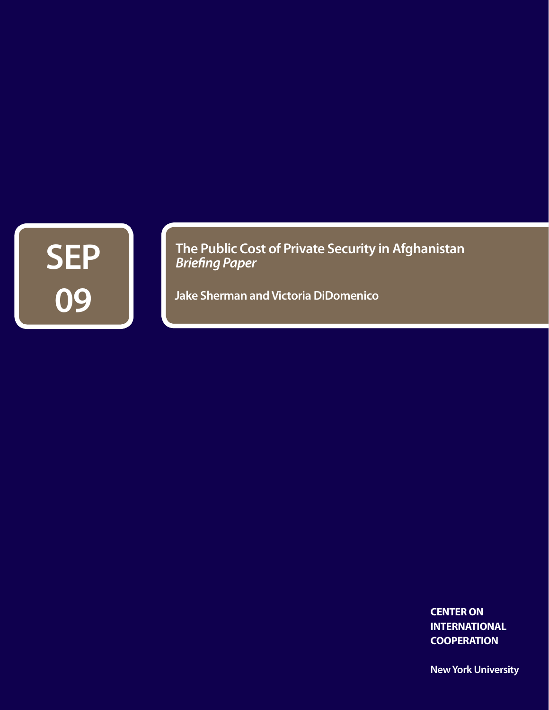

**The Public Cost of Private Security in Afghanistan** *Briefing Paper*

**Jake Sherman and Victoria DiDomenico**

**CENTER ON INTERNATIONAL COOPERATION**

**New York University**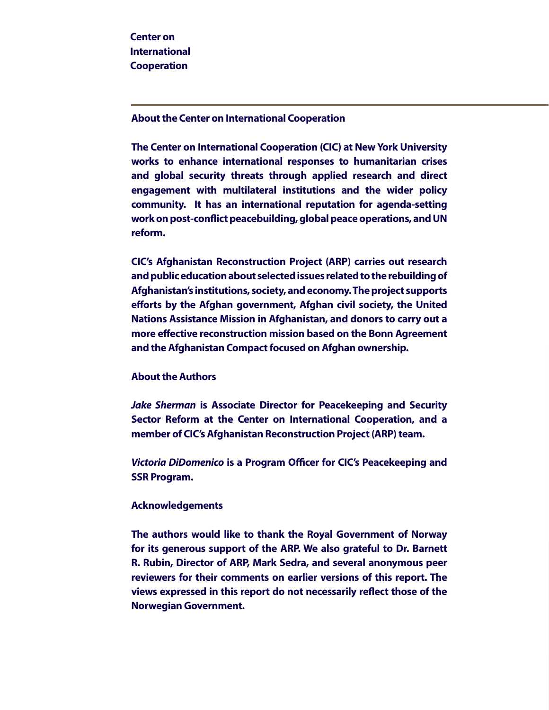**About the Center on International Cooperation**

**The Center on International Cooperation (CIC) at New York University works to enhance international responses to humanitarian crises and global security threats through applied research and direct engagement with multilateral institutions and the wider policy community. It has an international reputation for agenda-setting work on post-conflict peacebuilding, global peace operations, and UN reform.**

**CIC's Afghanistan Reconstruction Project (ARP) carries out research and public education about selected issues related to the rebuilding of Afghanistan's institutions, society, and economy. The project supports efforts by the Afghan government, Afghan civil society, the United Nations Assistance Mission in Afghanistan, and donors to carry out a more effective reconstruction mission based on the Bonn Agreement and the Afghanistan Compact focused on Afghan ownership.**

## **About the Authors**

*Jake Sherman* **is Associate Director for Peacekeeping and Security Sector Reform at the Center on International Cooperation, and a member of CIC's Afghanistan Reconstruction Project (ARP) team.**

*Victoria DiDomenico* **is a Program Officer for CIC's Peacekeeping and SSR Program.**

### **Acknowledgements**

In Pursuit of Sustainable Peace: The Seven Deadly Sins of Mediation **The authors would like to thank the Royal Government of Norway for its generous support of the ARP. We also grateful to Dr. Barnett R. Rubin, Director of ARP, Mark Sedra, and several anonymous peer reviewers for their comments on earlier versions of this report. The views expressed in this report do not necessarily reflect those of the Norwegian Government.**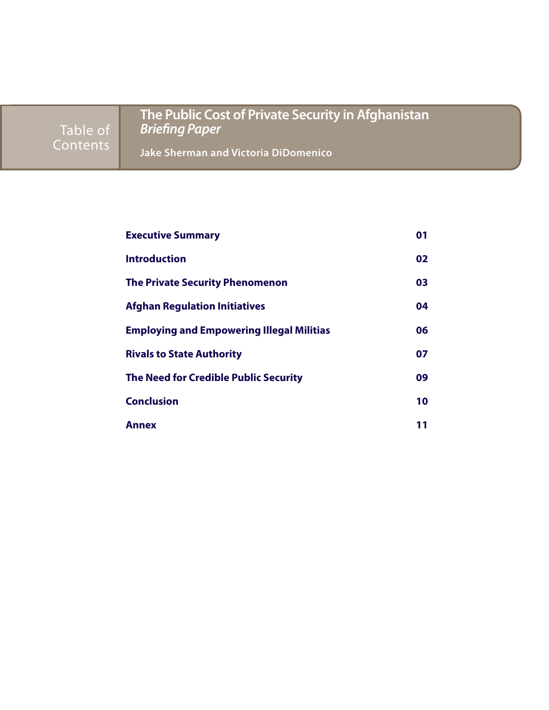Table of Contents

**The Public Cost of Private Security in Afghanistan** *Briefing Paper*

**Jake Sherman and Victoria DiDomenico**

| <b>Executive Summary</b>                         | 01  |
|--------------------------------------------------|-----|
| <b>Introduction</b>                              | 02  |
| <b>The Private Security Phenomenon</b>           | 03  |
| <b>Afghan Regulation Initiatives</b>             | 04  |
| <b>Employing and Empowering Illegal Militias</b> | 06. |
| <b>Rivals to State Authority</b>                 | 07  |
| <b>The Need for Credible Public Security</b>     | 09  |
| <b>Conclusion</b>                                | 10  |
| <b>Annex</b>                                     | 11  |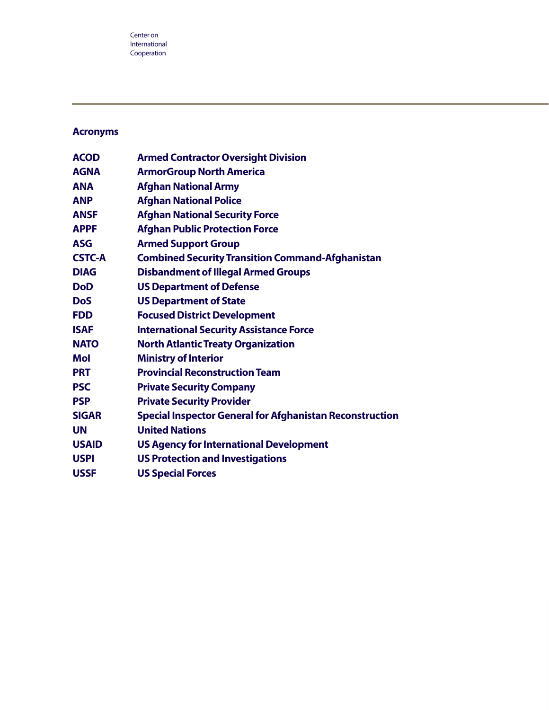## **Acronyms**

| <b>ACOD</b>   | <b>Armed Contractor Oversight Division</b>                      |
|---------------|-----------------------------------------------------------------|
| <b>AGNA</b>   | <b>ArmorGroup North America</b>                                 |
| <b>ANA</b>    | <b>Afghan National Army</b>                                     |
| <b>ANP</b>    | <b>Afghan National Police</b>                                   |
| <b>ANSF</b>   | <b>Afghan National Security Force</b>                           |
| <b>APPF</b>   | <b>Afghan Public Protection Force</b>                           |
| <b>ASG</b>    | <b>Armed Support Group</b>                                      |
| <b>CSTC-A</b> | <b>Combined Security Transition Command-Afghanistan</b>         |
| <b>DIAG</b>   | <b>Disbandment of Illegal Armed Groups</b>                      |
| <b>DoD</b>    | <b>US Department of Defense</b>                                 |
| <b>DoS</b>    | <b>US Department of State</b>                                   |
| <b>FDD</b>    | <b>Focused District Development</b>                             |
| <b>ISAF</b>   | <b>International Security Assistance Force</b>                  |
| <b>NATO</b>   | <b>North Atlantic Treaty Organization</b>                       |
| <b>Mol</b>    | <b>Ministry of Interior</b>                                     |
| <b>PRT</b>    | <b>Provincial Reconstruction Team</b>                           |
| <b>PSC</b>    | <b>Private Security Company</b>                                 |
| <b>PSP</b>    | <b>Private Security Provider</b>                                |
| <b>SIGAR</b>  | <b>Special Inspector General for Afghanistan Reconstruction</b> |
| <b>UN</b>     | <b>United Nations</b>                                           |
| <b>USAID</b>  | <b>US Agency for International Development</b>                  |
| <b>USPI</b>   | <b>US Protection and Investigations</b>                         |
| <b>USSF</b>   | <b>US Special Forces</b>                                        |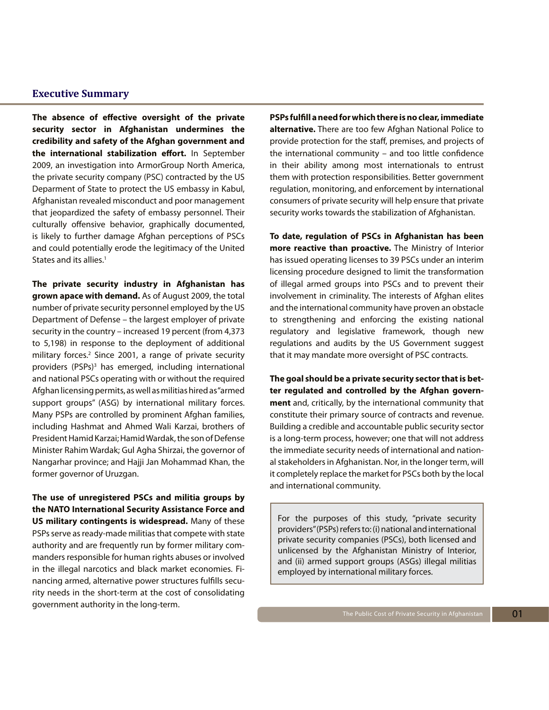### **Executive Summary**

**The absence of effective oversight of the private security sector in Afghanistan undermines the credibility and safety of the Afghan government and the international stabilization effort.** In September 2009, an investigation into ArmorGroup North America, the private security company (PSC) contracted by the US Deparment of State to protect the US embassy in Kabul, Afghanistan revealed misconduct and poor management that jeopardized the safety of embassy personnel. Their culturally offensive behavior, graphically documented, is likely to further damage Afghan perceptions of PSCs and could potentially erode the legitimacy of the United States and its allies.<sup>1</sup>

**The private security industry in Afghanistan has grown apace with demand.** As of August 2009, the total number of private security personnel employed by the US Department of Defense – the largest employer of private security in the country – increased 19 percent (from 4,373 to 5,198) in response to the deployment of additional military forces.<sup>2</sup> Since 2001, a range of private security providers (PSPs)<sup>3</sup> has emerged, including international and national PSCs operating with or without the required Afghan licensing permits, as well as militias hired as "armed support groups" (ASG) by international military forces. Many PSPs are controlled by prominent Afghan families, including Hashmat and Ahmed Wali Karzai, brothers of President Hamid Karzai; Hamid Wardak, the son of Defense Minister Rahim Wardak; Gul Agha Shirzai, the governor of Nangarhar province; and Hajji Jan Mohammad Khan, the former governor of Uruzgan.

**The use of unregistered PSCs and militia groups by the NATO International Security Assistance Force and US military contingents is widespread.** Many of these PSPs serve as ready-made militias that compete with state authority and are frequently run by former military commanders responsible for human rights abuses or involved in the illegal narcotics and black market economies. Financing armed, alternative power structures fulfills security needs in the short-term at the cost of consolidating government authority in the long-term.

**PSPs fulfill a need for which there is no clear, immediate alternative.** There are too few Afghan National Police to provide protection for the staff, premises, and projects of the international community – and too little confidence in their ability among most internationals to entrust them with protection responsibilities. Better government regulation, monitoring, and enforcement by international consumers of private security will help ensure that private security works towards the stabilization of Afghanistan.

**To date, regulation of PSCs in Afghanistan has been more reactive than proactive.** The Ministry of Interior has issued operating licenses to 39 PSCs under an interim licensing procedure designed to limit the transformation of illegal armed groups into PSCs and to prevent their involvement in criminality. The interests of Afghan elites and the international community have proven an obstacle to strengthening and enforcing the existing national regulatory and legislative framework, though new regulations and audits by the US Government suggest that it may mandate more oversight of PSC contracts.

**The goal should be a private security sector that is better regulated and controlled by the Afghan government** and, critically, by the international community that constitute their primary source of contracts and revenue. Building a credible and accountable public security sector is a long-term process, however; one that will not address the immediate security needs of international and national stakeholders in Afghanistan. Nor, in the longer term, will it completely replace the market for PSCs both by the local and international community.

For the purposes of this study, "private security providers" (PSPs) refers to: (i) national and international private security companies (PSCs), both licensed and unlicensed by the Afghanistan Ministry of Interior, and (ii) armed support groups (ASGs) illegal militias employed by international military forces.

01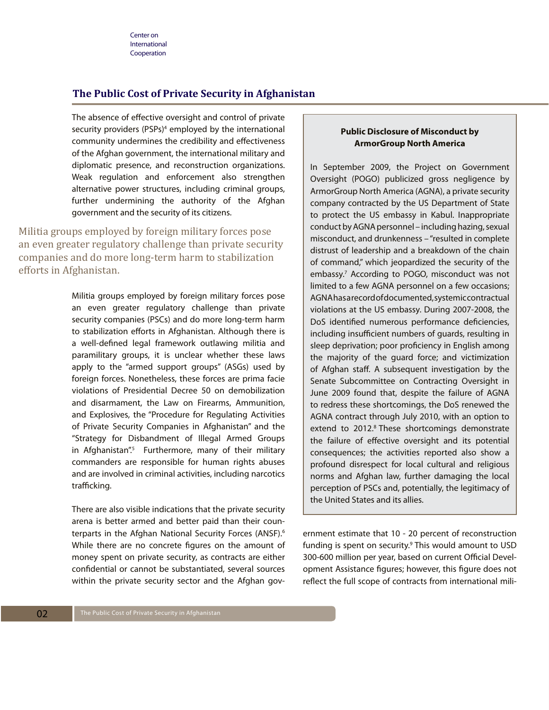### **The Public Cost of Private Security in Afghanistan**

The absence of effective oversight and control of private security providers (PSPs)<sup>4</sup> employed by the international community undermines the credibility and effectiveness of the Afghan government, the international military and diplomatic presence, and reconstruction organizations. Weak regulation and enforcement also strengthen alternative power structures, including criminal groups, further undermining the authority of the Afghan government and the security of its citizens.

Militia groups employed by foreign military forces pose an even greater regulatory challenge than private security companies and do more long-term harm to stabilization efforts in Afghanistan.

> Militia groups employed by foreign military forces pose an even greater regulatory challenge than private security companies (PSCs) and do more long-term harm to stabilization efforts in Afghanistan. Although there is a well-defined legal framework outlawing militia and paramilitary groups, it is unclear whether these laws apply to the "armed support groups" (ASGs) used by foreign forces. Nonetheless, these forces are prima facie violations of Presidential Decree 50 on demobilization and disarmament, the Law on Firearms, Ammunition, and Explosives, the "Procedure for Regulating Activities of Private Security Companies in Afghanistan" and the "Strategy for Disbandment of Illegal Armed Groups in Afghanistan".<sup>5</sup> Furthermore, many of their military commanders are responsible for human rights abuses and are involved in criminal activities, including narcotics trafficking.

> There are also visible indications that the private security arena is better armed and better paid than their counterparts in the Afghan National Security Forces (ANSF).6 While there are no concrete figures on the amount of money spent on private security, as contracts are either confidential or cannot be substantiated, several sources within the private security sector and the Afghan gov-

### **Public Disclosure of Misconduct by ArmorGroup North America**

In September 2009, the Project on Government Oversight (POGO) publicized gross negligence by ArmorGroup North America (AGNA), a private security company contracted by the US Department of State to protect the US embassy in Kabul. Inappropriate conduct by AGNA personnel – including hazing, sexual misconduct, and drunkenness – "resulted in complete distrust of leadership and a breakdown of the chain of command," which jeopardized the security of the embassy.7 According to POGO, misconduct was not limited to a few AGNA personnel on a few occasions; AGNA has a record of documented, systemic contractual violations at the US embassy. During 2007-2008, the DoS identified numerous performance deficiencies, including insufficient numbers of guards, resulting in sleep deprivation; poor proficiency in English among the majority of the guard force; and victimization of Afghan staff. A subsequent investigation by the Senate Subcommittee on Contracting Oversight in June 2009 found that, despite the failure of AGNA to redress these shortcomings, the DoS renewed the AGNA contract through July 2010, with an option to extend to 2012.<sup>8</sup> These shortcomings demonstrate the failure of effective oversight and its potential consequences; the activities reported also show a profound disrespect for local cultural and religious norms and Afghan law, further damaging the local perception of PSCs and, potentially, the legitimacy of the United States and its allies.

ernment estimate that 10 - 20 percent of reconstruction funding is spent on security.<sup>9</sup> This would amount to USD 300-600 million per year, based on current Official Development Assistance figures; however, this figure does not reflect the full scope of contracts from international mili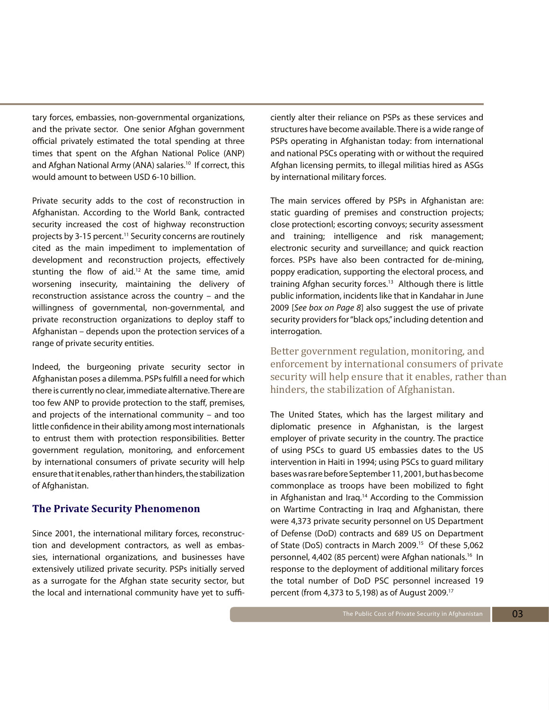tary forces, embassies, non-governmental organizations, and the private sector. One senior Afghan government official privately estimated the total spending at three times that spent on the Afghan National Police (ANP) and Afghan National Army (ANA) salaries.<sup>10</sup> If correct, this would amount to between USD 6-10 billion.

Private security adds to the cost of reconstruction in Afghanistan. According to the World Bank, contracted security increased the cost of highway reconstruction projects by 3-15 percent.<sup>11</sup> Security concerns are routinely cited as the main impediment to implementation of development and reconstruction projects, effectively stunting the flow of aid.<sup>12</sup> At the same time, amid worsening insecurity, maintaining the delivery of reconstruction assistance across the country – and the willingness of governmental, non-governmental, and private reconstruction organizations to deploy staff to Afghanistan – depends upon the protection services of a range of private security entities.

Indeed, the burgeoning private security sector in Afghanistan poses a dilemma. PSPs fulfill a need for which there is currently no clear, immediate alternative. There are too few ANP to provide protection to the staff, premises, and projects of the international community – and too little confidence in their ability among most internationals to entrust them with protection responsibilities. Better government regulation, monitoring, and enforcement by international consumers of private security will help ensure that it enables, rather than hinders, the stabilization of Afghanistan.

### **The Private Security Phenomenon**

Since 2001, the international military forces, reconstruction and development contractors, as well as embassies, international organizations, and businesses have extensively utilized private security. PSPs initially served as a surrogate for the Afghan state security sector, but the local and international community have yet to sufficiently alter their reliance on PSPs as these services and structures have become available. There is a wide range of PSPs operating in Afghanistan today: from international and national PSCs operating with or without the required Afghan licensing permits, to illegal militias hired as ASGs by international military forces.

The main services offered by PSPs in Afghanistan are: static guarding of premises and construction projects; close protectionl; escorting convoys; security assessment and training; intelligence and risk management; electronic security and surveillance; and quick reaction forces. PSPs have also been contracted for de-mining, poppy eradication, supporting the electoral process, and training Afghan security forces.<sup>13</sup> Although there is little public information, incidents like that in Kandahar in June 2009 [*See box on Page 8*] also suggest the use of private security providers for "black ops," including detention and interrogation.

Better government regulation, monitoring, and enforcement by international consumers of private security will help ensure that it enables, rather than hinders, the stabilization of Afghanistan.

The United States, which has the largest military and diplomatic presence in Afghanistan, is the largest employer of private security in the country. The practice of using PSCs to guard US embassies dates to the US intervention in Haiti in 1994; using PSCs to guard military bases was rare before September 11, 2001, but has become commonplace as troops have been mobilized to fight in Afghanistan and Iraq.14 According to the Commission on Wartime Contracting in Iraq and Afghanistan, there were 4,373 private security personnel on US Department of Defense (DoD) contracts and 689 US on Department of State (DoS) contracts in March 2009.<sup>15</sup> Of these 5,062 personnel, 4,402 (85 percent) were Afghan nationals.<sup>16</sup> In response to the deployment of additional military forces the total number of DoD PSC personnel increased 19 percent (from 4,373 to 5,198) as of August 2009.17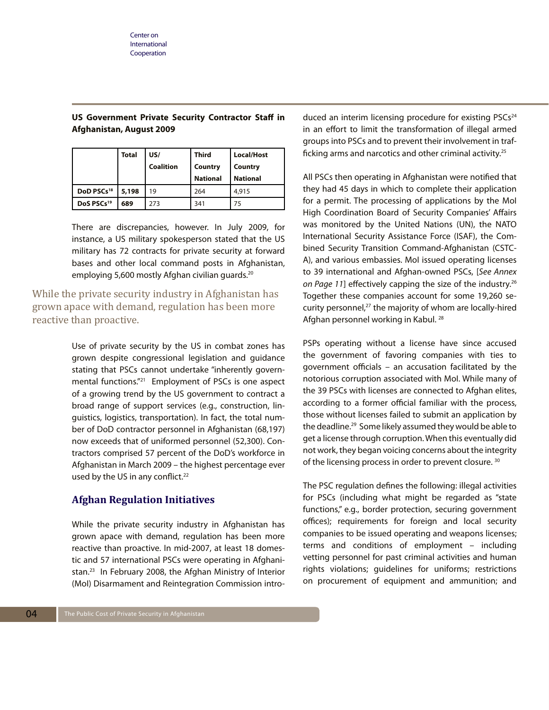| <b>US Government Private Security Contractor Staff in</b> |  |  |  |
|-----------------------------------------------------------|--|--|--|
| Afghanistan, August 2009                                  |  |  |  |

|                        | Total | US/              | Third           | <b>Local/Host</b> |
|------------------------|-------|------------------|-----------------|-------------------|
|                        |       | <b>Coalition</b> | Country         | Country           |
|                        |       |                  | <b>National</b> | <b>National</b>   |
| DoD PSCs <sup>18</sup> | 5,198 | 19               | 264             | 4,915             |
| DoS PSCs <sup>19</sup> | 689   | 273              | 341             | 75                |

There are discrepancies, however. In July 2009, for instance, a US military spokesperson stated that the US military has 72 contracts for private security at forward bases and other local command posts in Afghanistan, employing 5,600 mostly Afghan civilian guards.<sup>20</sup>

While the private security industry in Afghanistan has grown apace with demand, regulation has been more reactive than proactive.

> Use of private security by the US in combat zones has grown despite congressional legislation and guidance stating that PSCs cannot undertake "inherently governmental functions."21 Employment of PSCs is one aspect of a growing trend by the US government to contract a broad range of support services (e.g., construction, linguistics, logistics, transportation). In fact, the total number of DoD contractor personnel in Afghanistan (68,197) now exceeds that of uniformed personnel (52,300). Contractors comprised 57 percent of the DoD's workforce in Afghanistan in March 2009 – the highest percentage ever used by the US in any conflict.<sup>22</sup>

## **Afghan Regulation Initiatives**

While the private security industry in Afghanistan has grown apace with demand, regulation has been more reactive than proactive. In mid-2007, at least 18 domestic and 57 international PSCs were operating in Afghanistan.23 In February 2008, the Afghan Ministry of Interior (MoI) Disarmament and Reintegration Commission intro-

duced an interim licensing procedure for existing PSCs<sup>24</sup> in an effort to limit the transformation of illegal armed groups into PSCs and to prevent their involvement in trafficking arms and narcotics and other criminal activity.25

All PSCs then operating in Afghanistan were notified that they had 45 days in which to complete their application for a permit. The processing of applications by the MoI High Coordination Board of Security Companies' Affairs was monitored by the United Nations (UN), the NATO International Security Assistance Force (ISAF), the Combined Security Transition Command-Afghanistan (CSTC-A), and various embassies. MoI issued operating licenses to 39 international and Afghan-owned PSCs, [*See Annex*  on Page 11] effectively capping the size of the industry.<sup>26</sup> Together these companies account for some 19,260 security personnel,<sup>27</sup> the majority of whom are locally-hired Afghan personnel working in Kabul. 28

PSPs operating without a license have since accused the government of favoring companies with ties to government officials – an accusation facilitated by the notorious corruption associated with MoI. While many of the 39 PSCs with licenses are connected to Afghan elites, according to a former official familiar with the process, those without licenses failed to submit an application by the deadline.29 Some likely assumed they would be able to get a license through corruption. When this eventually did not work, they began voicing concerns about the integrity of the licensing process in order to prevent closure. 30

The PSC regulation defines the following: illegal activities for PSCs (including what might be regarded as "state functions," e.g., border protection, securing government offices); requirements for foreign and local security companies to be issued operating and weapons licenses; terms and conditions of employment – including vetting personnel for past criminal activities and human rights violations; guidelines for uniforms; restrictions on procurement of equipment and ammunition; and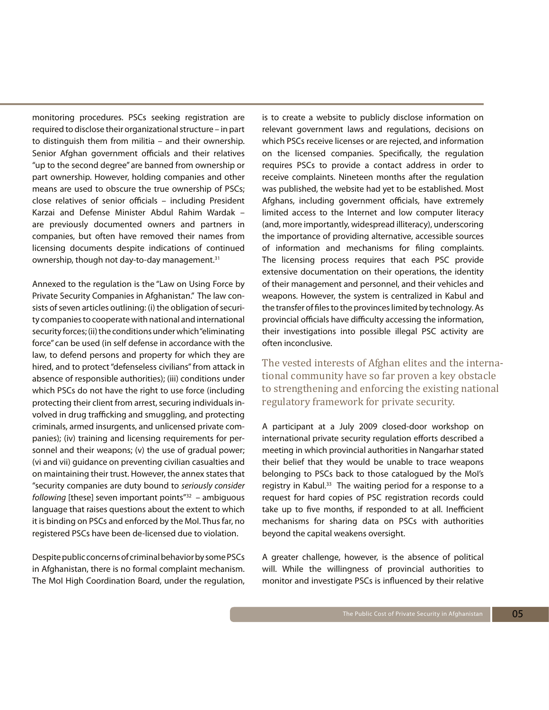monitoring procedures. PSCs seeking registration are required to disclose their organizational structure – in part to distinguish them from militia – and their ownership. Senior Afghan government officials and their relatives "up to the second degree" are banned from ownership or part ownership. However, holding companies and other means are used to obscure the true ownership of PSCs; close relatives of senior officials – including President Karzai and Defense Minister Abdul Rahim Wardak – are previously documented owners and partners in companies, but often have removed their names from licensing documents despite indications of continued ownership, though not day-to-day management.<sup>31</sup>

Annexed to the regulation is the "Law on Using Force by Private Security Companies in Afghanistan." The law consists of seven articles outlining: (i) the obligation of security companies to cooperate with national and international security forces; (ii) the conditions under which "eliminating force" can be used (in self defense in accordance with the law, to defend persons and property for which they are hired, and to protect "defenseless civilians" from attack in absence of responsible authorities); (iii) conditions under which PSCs do not have the right to use force (including protecting their client from arrest, securing individuals involved in drug trafficking and smuggling, and protecting criminals, armed insurgents, and unlicensed private companies); (iv) training and licensing requirements for personnel and their weapons; (v) the use of gradual power; (vi and vii) guidance on preventing civilian casualties and on maintaining their trust. However, the annex states that "security companies are duty bound to *seriously consider following* [these] seven important points"32 – ambiguous language that raises questions about the extent to which it is binding on PSCs and enforced by the MoI. Thus far, no registered PSCs have been de-licensed due to violation.

Despite public concerns of criminal behavior by some PSCs in Afghanistan, there is no formal complaint mechanism. The MoI High Coordination Board, under the regulation,

is to create a website to publicly disclose information on relevant government laws and regulations, decisions on which PSCs receive licenses or are rejected, and information on the licensed companies. Specifically, the regulation requires PSCs to provide a contact address in order to receive complaints. Nineteen months after the regulation was published, the website had yet to be established. Most Afghans, including government officials, have extremely limited access to the Internet and low computer literacy (and, more importantly, widespread illiteracy), underscoring the importance of providing alternative, accessible sources of information and mechanisms for filing complaints. The licensing process requires that each PSC provide extensive documentation on their operations, the identity of their management and personnel, and their vehicles and weapons. However, the system is centralized in Kabul and the transfer of files to the provinces limited by technology. As provincial officials have difficulty accessing the information, their investigations into possible illegal PSC activity are often inconclusive.

The vested interests of Afghan elites and the international community have so far proven a key obstacle to strengthening and enforcing the existing national regulatory framework for private security.

A participant at a July 2009 closed-door workshop on international private security regulation efforts described a meeting in which provincial authorities in Nangarhar stated their belief that they would be unable to trace weapons belonging to PSCs back to those catalogued by the MoI's registry in Kabul.<sup>33</sup> The waiting period for a response to a request for hard copies of PSC registration records could take up to five months, if responded to at all. Inefficient mechanisms for sharing data on PSCs with authorities beyond the capital weakens oversight.

A greater challenge, however, is the absence of political will. While the willingness of provincial authorities to monitor and investigate PSCs is influenced by their relative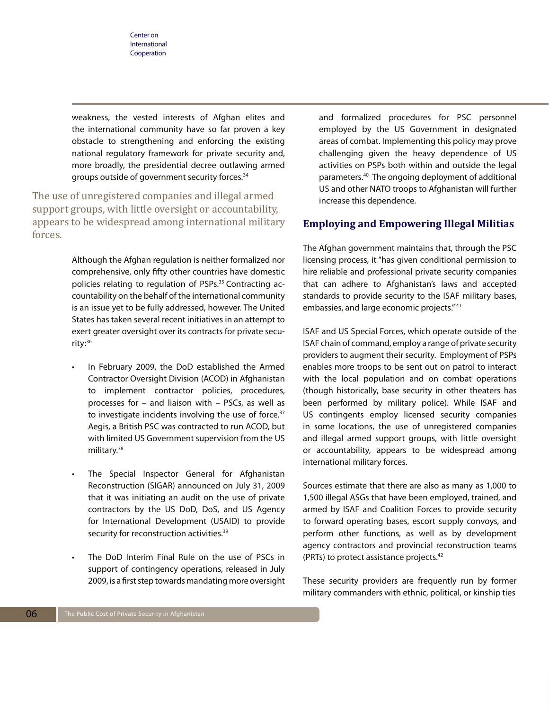weakness, the vested interests of Afghan elites and the international community have so far proven a key obstacle to strengthening and enforcing the existing national regulatory framework for private security and, more broadly, the presidential decree outlawing armed groups outside of government security forces.<sup>34</sup>

The use of unregistered companies and illegal armed support groups, with little oversight or accountability, appears to be widespread among international military forces.

> Although the Afghan regulation is neither formalized nor comprehensive, only fifty other countries have domestic policies relating to regulation of PSPs.<sup>35</sup> Contracting accountability on the behalf of the international community is an issue yet to be fully addressed, however. The United States has taken several recent initiatives in an attempt to exert greater oversight over its contracts for private security:36

- In February 2009, the DoD established the Armed Contractor Oversight Division (ACOD) in Afghanistan to implement contractor policies, procedures, processes for – and liaison with – PSCs, as well as to investigate incidents involving the use of force.<sup>37</sup> Aegis, a British PSC was contracted to run ACOD, but with limited US Government supervision from the US military.38
- The Special Inspector General for Afghanistan Reconstruction (SIGAR) announced on July 31, 2009 that it was initiating an audit on the use of private contractors by the US DoD, DoS, and US Agency for International Development (USAID) to provide security for reconstruction activities.<sup>39</sup>
- The DoD Interim Final Rule on the use of PSCs in support of contingency operations, released in July 2009, is a first step towards mandating more oversight

and formalized procedures for PSC personnel employed by the US Government in designated areas of combat. Implementing this policy may prove challenging given the heavy dependence of US activities on PSPs both within and outside the legal parameters.40 The ongoing deployment of additional US and other NATO troops to Afghanistan will further increase this dependence.

## **Employing and Empowering Illegal Militias**

The Afghan government maintains that, through the PSC licensing process, it "has given conditional permission to hire reliable and professional private security companies that can adhere to Afghanistan's laws and accepted standards to provide security to the ISAF military bases, embassies, and large economic projects." 41

ISAF and US Special Forces, which operate outside of the ISAF chain of command, employ a range of private security providers to augment their security. Employment of PSPs enables more troops to be sent out on patrol to interact with the local population and on combat operations (though historically, base security in other theaters has been performed by military police). While ISAF and US contingents employ licensed security companies in some locations, the use of unregistered companies and illegal armed support groups, with little oversight or accountability, appears to be widespread among international military forces.

Sources estimate that there are also as many as 1,000 to 1,500 illegal ASGs that have been employed, trained, and armed by ISAF and Coalition Forces to provide security to forward operating bases, escort supply convoys, and perform other functions, as well as by development agency contractors and provincial reconstruction teams (PRTs) to protect assistance projects.42

These security providers are frequently run by former military commanders with ethnic, political, or kinship ties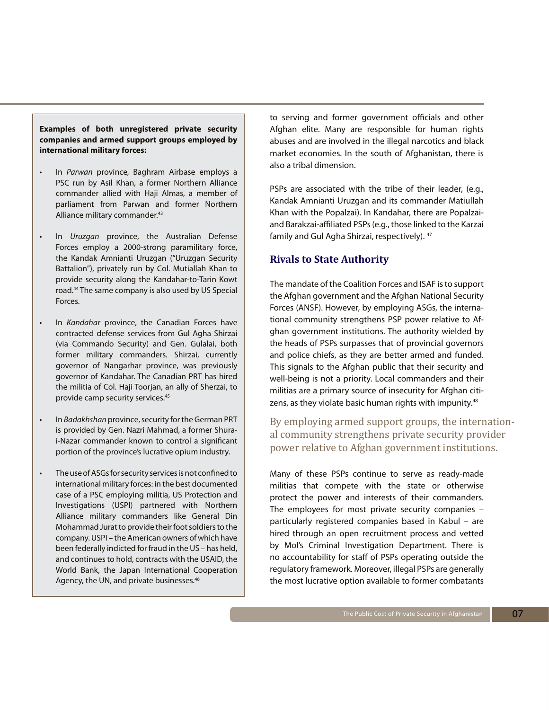**Examples of both unregistered private security companies and armed support groups employed by international military forces:**

- In *Parwan* province, Baghram Airbase employs a PSC run by Asil Khan, a former Northern Alliance commander allied with Haji Almas, a member of parliament from Parwan and former Northern Alliance military commander.43
- In *Uruzgan* province, the Australian Defense Forces employ a 2000-strong paramilitary force, the Kandak Amnianti Uruzgan ("Uruzgan Security Battalion"), privately run by Col. Mutiallah Khan to provide security along the Kandahar-to-Tarin Kowt road.44 The same company is also used by US Special Forces.
- In *Kandahar* province, the Canadian Forces have contracted defense services from Gul Agha Shirzai (via Commando Security) and Gen. Gulalai, both former military commanders. Shirzai, currently governor of Nangarhar province, was previously governor of Kandahar. The Canadian PRT has hired the militia of Col. Haji Toorjan, an ally of Sherzai, to provide camp security services.45
- • In *Badakhshan* province, security for the German PRT is provided by Gen. Nazri Mahmad, a former Shurai-Nazar commander known to control a significant portion of the province's lucrative opium industry.
- The use of ASGs for security services is not confined to international military forces: in the best documented case of a PSC employing militia, US Protection and Investigations (USPI) partnered with Northern Alliance military commanders like General Din Mohammad Jurat to provide their foot soldiers to the company. USPI – the American owners of which have been federally indicted for fraud in the US – has held, and continues to hold, contracts with the USAID, the World Bank, the Japan International Cooperation Agency, the UN, and private businesses.46

to serving and former government officials and other Afghan elite. Many are responsible for human rights abuses and are involved in the illegal narcotics and black market economies. In the south of Afghanistan, there is also a tribal dimension.

PSPs are associated with the tribe of their leader, (e.g., Kandak Amnianti Uruzgan and its commander Matiullah Khan with the Popalzai). In Kandahar, there are Popalzaiand Barakzai-affiliated PSPs (e.g., those linked to the Karzai family and Gul Agha Shirzai, respectively). <sup>47</sup>

## **Rivals to State Authority**

The mandate of the Coalition Forces and ISAF is to support the Afghan government and the Afghan National Security Forces (ANSF). However, by employing ASGs, the international community strengthens PSP power relative to Afghan government institutions. The authority wielded by the heads of PSPs surpasses that of provincial governors and police chiefs, as they are better armed and funded. This signals to the Afghan public that their security and well-being is not a priority. Local commanders and their militias are a primary source of insecurity for Afghan citizens, as they violate basic human rights with impunity.<sup>48</sup>

## By employing armed support groups, the international community strengthens private security provider power relative to Afghan government institutions.

Many of these PSPs continue to serve as ready-made militias that compete with the state or otherwise protect the power and interests of their commanders. The employees for most private security companies – particularly registered companies based in Kabul – are hired through an open recruitment process and vetted by MoI's Criminal Investigation Department. There is no accountability for staff of PSPs operating outside the regulatory framework. Moreover, illegal PSPs are generally the most lucrative option available to former combatants

07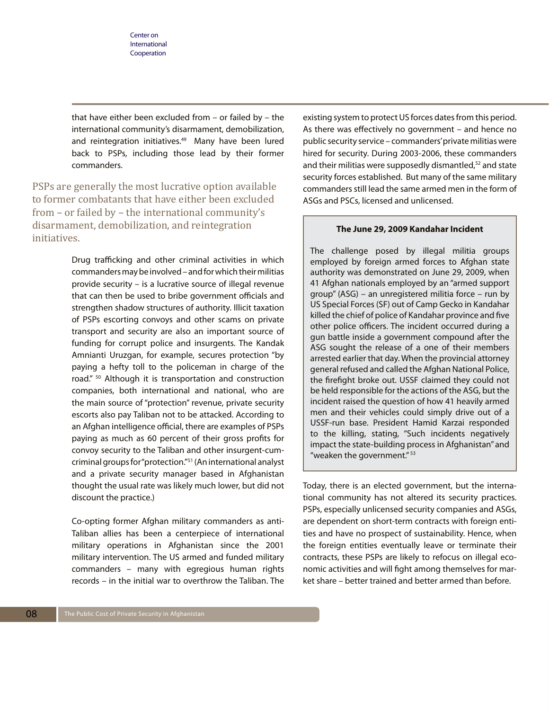that have either been excluded from – or failed by – the international community's disarmament, demobilization, and reintegration initiatives.<sup>49</sup> Many have been lured back to PSPs, including those lead by their former commanders.

PSPs are generally the most lucrative option available to former combatants that have either been excluded from – or failed by – the international community's disarmament, demobilization, and reintegration initiatives.

> Drug trafficking and other criminal activities in which commanders may be involved – and for which their militias provide security – is a lucrative source of illegal revenue that can then be used to bribe government officials and strengthen shadow structures of authority. Illicit taxation of PSPs escorting convoys and other scams on private transport and security are also an important source of funding for corrupt police and insurgents. The Kandak Amnianti Uruzgan, for example, secures protection "by paying a hefty toll to the policeman in charge of the road." 50 Although it is transportation and construction companies, both international and national, who are the main source of "protection" revenue, private security escorts also pay Taliban not to be attacked. According to an Afghan intelligence official, there are examples of PSPs paying as much as 60 percent of their gross profits for convoy security to the Taliban and other insurgent-cumcriminal groups for "protection."51 (An international analyst and a private security manager based in Afghanistan thought the usual rate was likely much lower, but did not discount the practice.)

> Co-opting former Afghan military commanders as anti-Taliban allies has been a centerpiece of international military operations in Afghanistan since the 2001 military intervention. The US armed and funded military commanders – many with egregious human rights records – in the initial war to overthrow the Taliban. The

existing system to protect US forces dates from this period. As there was effectively no government – and hence no public security service – commanders' private militias were hired for security. During 2003-2006, these commanders and their militias were supposedly dismantled,<sup>52</sup> and state security forces established. But many of the same military commanders still lead the same armed men in the form of ASGs and PSCs, licensed and unlicensed.

#### **The June 29, 2009 Kandahar Incident**

The challenge posed by illegal militia groups employed by foreign armed forces to Afghan state authority was demonstrated on June 29, 2009, when 41 Afghan nationals employed by an "armed support group" (ASG) – an unregistered militia force – run by US Special Forces (SF) out of Camp Gecko in Kandahar killed the chief of police of Kandahar province and five other police officers. The incident occurred during a gun battle inside a government compound after the ASG sought the release of a one of their members arrested earlier that day. When the provincial attorney general refused and called the Afghan National Police, the firefight broke out. USSF claimed they could not be held responsible for the actions of the ASG, but the incident raised the question of how 41 heavily armed men and their vehicles could simply drive out of a USSF-run base. President Hamid Karzai responded to the killing, stating, "Such incidents negatively impact the state-building process in Afghanistan" and "weaken the government."<sup>53</sup>

Today, there is an elected government, but the international community has not altered its security practices. PSPs, especially unlicensed security companies and ASGs, are dependent on short-term contracts with foreign entities and have no prospect of sustainability. Hence, when the foreign entities eventually leave or terminate their contracts, these PSPs are likely to refocus on illegal economic activities and will fight among themselves for market share – better trained and better armed than before.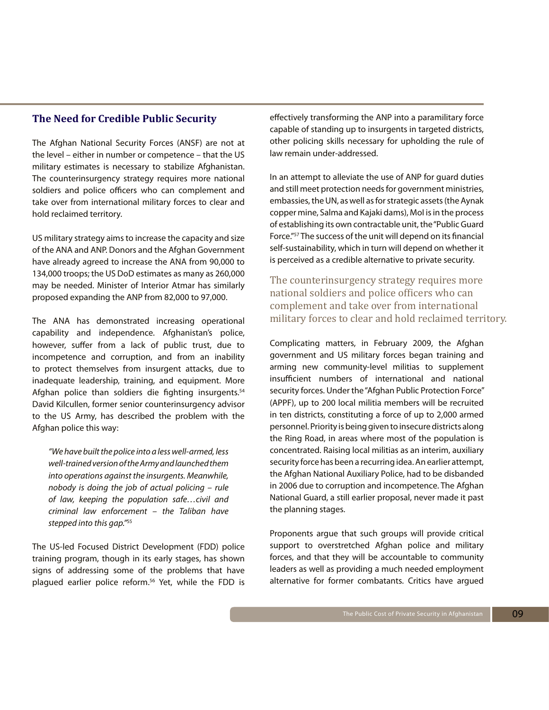## **The Need for Credible Public Security**

The Afghan National Security Forces (ANSF) are not at the level – either in number or competence – that the US military estimates is necessary to stabilize Afghanistan. The counterinsurgency strategy requires more national soldiers and police officers who can complement and take over from international military forces to clear and hold reclaimed territory.

US military strategy aims to increase the capacity and size of the ANA and ANP. Donors and the Afghan Government have already agreed to increase the ANA from 90,000 to 134,000 troops; the US DoD estimates as many as 260,000 may be needed. Minister of Interior Atmar has similarly proposed expanding the ANP from 82,000 to 97,000.

The ANA has demonstrated increasing operational capability and independence. Afghanistan's police, however, suffer from a lack of public trust, due to incompetence and corruption, and from an inability to protect themselves from insurgent attacks, due to inadequate leadership, training, and equipment. More Afghan police than soldiers die fighting insurgents.<sup>54</sup> David Kilcullen, former senior counterinsurgency advisor to the US Army, has described the problem with the Afghan police this way:

*"We have built the police into a less well-armed, less well-trained version of the Army and launched them into operations against the insurgents. Meanwhile, nobody is doing the job of actual policing – rule of law, keeping the population safe…civil and criminal law enforcement – the Taliban have stepped into this gap."*<sup>55</sup>

The US-led Focused District Development (FDD) police training program, though in its early stages, has shown signs of addressing some of the problems that have plagued earlier police reform.<sup>56</sup> Yet, while the FDD is effectively transforming the ANP into a paramilitary force capable of standing up to insurgents in targeted districts, other policing skills necessary for upholding the rule of law remain under-addressed.

In an attempt to alleviate the use of ANP for guard duties and still meet protection needs for government ministries, embassies, the UN, as well as for strategic assets (the Aynak copper mine, Salma and Kajaki dams), MoI is in the process of establishing its own contractable unit, the "Public Guard Force."57 The success of the unit will depend on its financial self-sustainability, which in turn will depend on whether it is perceived as a credible alternative to private security.

The counterinsurgency strategy requires more national soldiers and police officers who can complement and take over from international military forces to clear and hold reclaimed territory.

Complicating matters, in February 2009, the Afghan government and US military forces began training and arming new community-level militias to supplement insufficient numbers of international and national security forces. Under the "Afghan Public Protection Force" (APPF), up to 200 local militia members will be recruited in ten districts, constituting a force of up to 2,000 armed personnel. Priority is being given to insecure districts along the Ring Road, in areas where most of the population is concentrated. Raising local militias as an interim, auxiliary security force has been a recurring idea. An earlier attempt, the Afghan National Auxiliary Police, had to be disbanded in 2006 due to corruption and incompetence. The Afghan National Guard, a still earlier proposal, never made it past the planning stages.

Proponents argue that such groups will provide critical support to overstretched Afghan police and military forces, and that they will be accountable to community leaders as well as providing a much needed employment alternative for former combatants. Critics have argued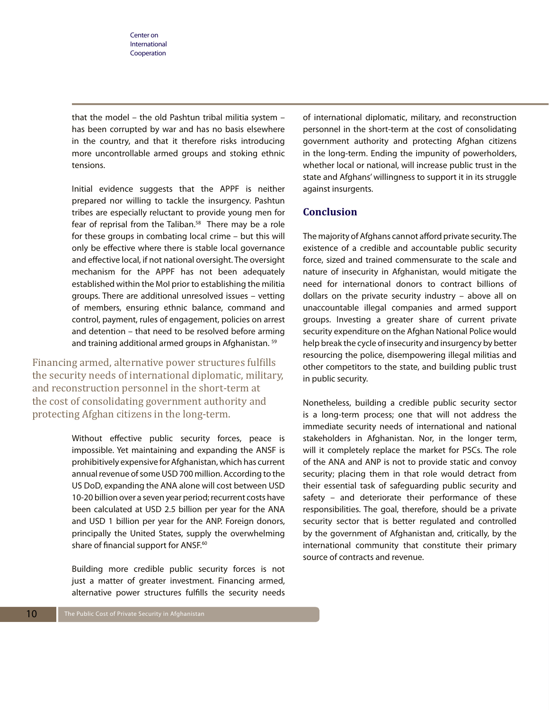that the model – the old Pashtun tribal militia system – has been corrupted by war and has no basis elsewhere in the country, and that it therefore risks introducing more uncontrollable armed groups and stoking ethnic tensions.

Initial evidence suggests that the APPF is neither prepared nor willing to tackle the insurgency. Pashtun tribes are especially reluctant to provide young men for fear of reprisal from the Taliban.<sup>58</sup> There may be a role for these groups in combating local crime – but this will only be effective where there is stable local governance and effective local, if not national oversight. The oversight mechanism for the APPF has not been adequately established within the MoI prior to establishing the militia groups. There are additional unresolved issues – vetting of members, ensuring ethnic balance, command and control, payment, rules of engagement, policies on arrest and detention – that need to be resolved before arming and training additional armed groups in Afghanistan. 59

Financing armed, alternative power structures fulfills the security needs of international diplomatic, military, and reconstruction personnel in the short-term at the cost of consolidating government authority and protecting Afghan citizens in the long-term.

> Without effective public security forces, peace is impossible. Yet maintaining and expanding the ANSF is prohibitively expensive for Afghanistan, which has current annual revenue of some USD 700 million. According to the US DoD, expanding the ANA alone will cost between USD 10-20 billion over a seven year period; recurrent costs have been calculated at USD 2.5 billion per year for the ANA and USD 1 billion per year for the ANP. Foreign donors, principally the United States, supply the overwhelming share of financial support for ANSF.<sup>60</sup>

> Building more credible public security forces is not just a matter of greater investment. Financing armed, alternative power structures fulfills the security needs

of international diplomatic, military, and reconstruction personnel in the short-term at the cost of consolidating government authority and protecting Afghan citizens in the long-term. Ending the impunity of powerholders, whether local or national, will increase public trust in the state and Afghans' willingness to support it in its struggle against insurgents.

## **Conclusion**

The majority of Afghans cannot afford private security. The existence of a credible and accountable public security force, sized and trained commensurate to the scale and nature of insecurity in Afghanistan, would mitigate the need for international donors to contract billions of dollars on the private security industry – above all on unaccountable illegal companies and armed support groups. Investing a greater share of current private security expenditure on the Afghan National Police would help break the cycle of insecurity and insurgency by better resourcing the police, disempowering illegal militias and other competitors to the state, and building public trust in public security.

Nonetheless, building a credible public security sector is a long-term process; one that will not address the immediate security needs of international and national stakeholders in Afghanistan. Nor, in the longer term, will it completely replace the market for PSCs. The role of the ANA and ANP is not to provide static and convoy security; placing them in that role would detract from their essential task of safeguarding public security and safety – and deteriorate their performance of these responsibilities. The goal, therefore, should be a private security sector that is better regulated and controlled by the government of Afghanistan and, critically, by the international community that constitute their primary source of contracts and revenue.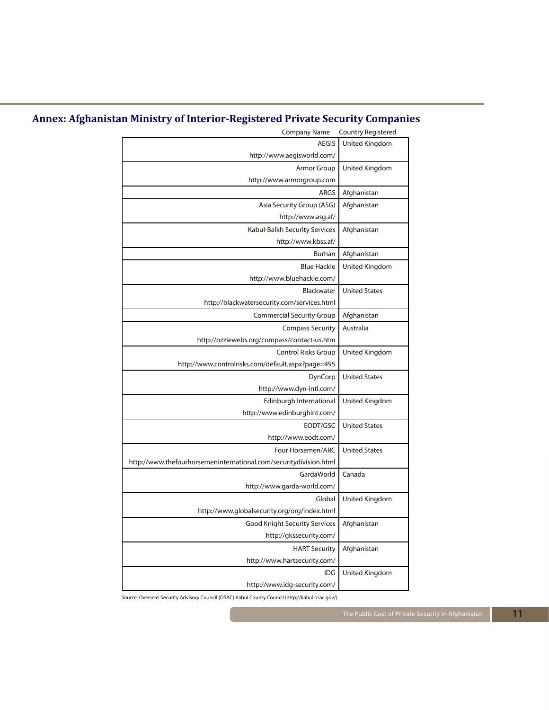# **Annex: Afghanistan Ministry of Interior-Registered Private Security Companies**

| <b>Company Name</b>                                               | <b>Country Registered</b> |
|-------------------------------------------------------------------|---------------------------|
| <b>AEGIS</b>                                                      | United Kingdom            |
| http://www.aegisworld.com/                                        |                           |
| Armor Group                                                       | United Kingdom            |
| http://www.armorgroup.com                                         |                           |
| ARGS                                                              | Afghanistan               |
| Asia Security Group (ASG)                                         | Afghanistan               |
| http://www.asg.af/                                                |                           |
| Kabul-Balkh Security Services                                     | Afghanistan               |
| http://www.kbss.af/                                               |                           |
| <b>Burhan</b>                                                     | Afghanistan               |
| <b>Blue Hackle</b>                                                | United Kingdom            |
| http://www.bluehackle.com/                                        |                           |
| Blackwater                                                        | <b>United States</b>      |
| http://blackwatersecurity.com/services.html                       |                           |
| <b>Commercial Security Group</b>                                  | Afghanistan               |
| <b>Compass Security</b>                                           | Australia                 |
| http://ozziewebs.org/compass/contact-us.htm                       |                           |
| <b>Control Risks Group</b>                                        | United Kingdom            |
| http://www.controlrisks.com/default.aspx?page=495                 |                           |
| DynCorp                                                           | <b>United States</b>      |
| http://www.dyn-intl.com/                                          |                           |
| Edinburgh International                                           | United Kingdom            |
| http://www.edinburghint.com/                                      |                           |
| EODT/GSC                                                          | <b>United States</b>      |
| http://www.eodt.com/                                              |                           |
| Four Horsemen/ARC                                                 | <b>United States</b>      |
| http://www.thefourhorsemeninternational.com/securitydivision.html |                           |
| GardaWorld                                                        | Canada                    |
| http://www.garda-world.com/                                       |                           |
| Global                                                            | United Kingdom            |
| http://www.globalsecurity.org/org/index.html                      |                           |
| <b>Good Knight Security Services</b>                              | Afghanistan               |
| http://gkssecurity.com/                                           |                           |
| <b>HART Security</b>                                              | Afghanistan               |
| http://www.hartsecurity.com/                                      |                           |
| IDG                                                               | United Kingdom            |
| http://www.idg-security.com/                                      |                           |
|                                                                   |                           |

Source: Overseas Security Advisory Council (OSAC) Kabul County Council (http://kabul.osac.gov/)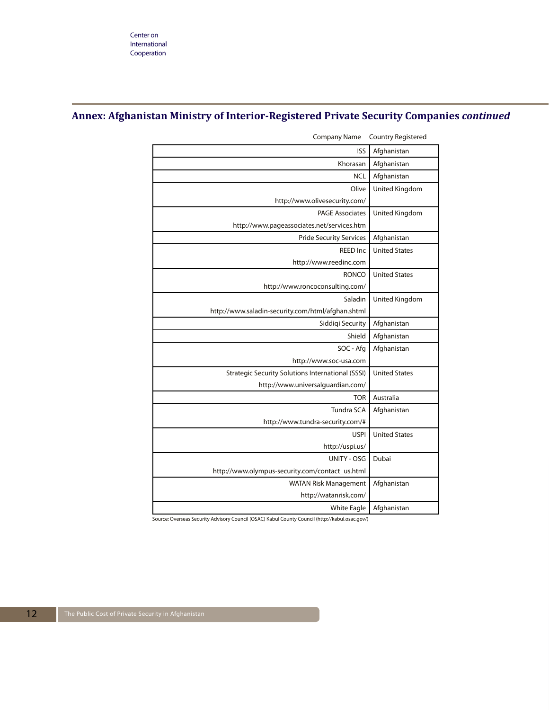## **Annex: Afghanistan Ministry of Interior-Registered Private Security Companies** *continued*

| <b>ISS</b>                                               | Afghanistan          |
|----------------------------------------------------------|----------------------|
| Khorasan                                                 | Afghanistan          |
| <b>NCL</b>                                               | Afghanistan          |
| Olive                                                    | United Kingdom       |
| http://www.olivesecurity.com/                            |                      |
| <b>PAGE Associates</b>                                   | United Kingdom       |
| http://www.pageassociates.net/services.htm               |                      |
| <b>Pride Security Services</b>                           | Afghanistan          |
| <b>REED Inc</b>                                          | <b>United States</b> |
| http://www.reedinc.com                                   |                      |
| <b>RONCO</b>                                             | <b>United States</b> |
| http://www.roncoconsulting.com/                          |                      |
| Saladin                                                  | United Kingdom       |
| http://www.saladin-security.com/html/afghan.shtml        |                      |
| Siddiqi Security                                         | Afghanistan          |
| Shield                                                   | Afghanistan          |
| SOC - Afg                                                | Afghanistan          |
| http://www.soc-usa.com                                   |                      |
| <b>Strategic Security Solutions International (SSSI)</b> | <b>United States</b> |
| http://www.universalguardian.com/                        |                      |
| <b>TOR</b>                                               | Australia            |
| <b>Tundra SCA</b>                                        | Afghanistan          |
| http://www.tundra-security.com/#                         |                      |
| <b>USPI</b>                                              | <b>United States</b> |
| http://uspi.us/                                          |                      |
| <b>UNITY - OSG</b>                                       | Dubai                |
| http://www.olympus-security.com/contact_us.html          |                      |
| <b>WATAN Risk Management</b>                             | Afghanistan          |
| http://watanrisk.com/                                    |                      |
| <b>White Eagle</b>                                       | Afghanistan          |

Company Name Country Registered

Source: Overseas Security Advisory Council (OSAC) Kabul County Council (http://kabul.osac.gov/)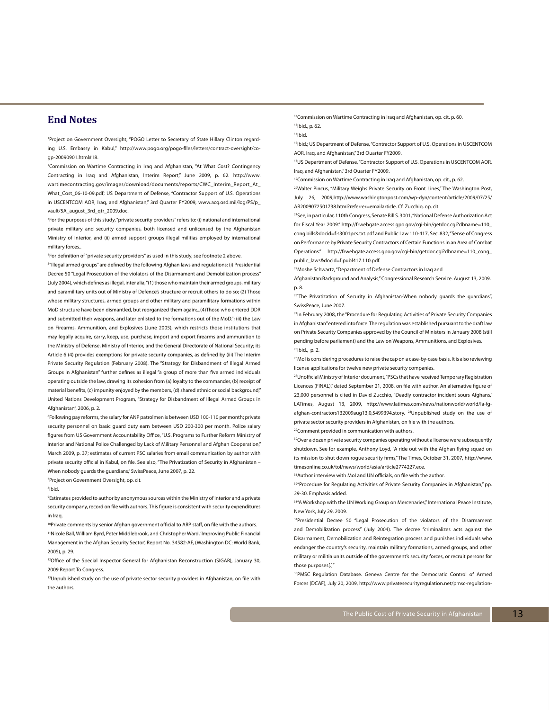## **End Notes**

1 Project on Government Oversight, "POGO Letter to Secretary of State Hillary Clinton regarding U.S. Embassy in Kabul," http://www.pogo.org/pogo-files/letters/contract-oversight/cogp-20090901.html#18.

2 Commission on Wartime Contracting in Iraq and Afghanistan, "At What Cost? Contingency Contracting in Iraq and Afghanistan, Interim Report," June 2009, p. 62. http://www. wartimecontracting.gov/images/download/documents/reports/CWC\_Interim\_Report\_At\_ What\_Cost\_06-10-09.pdf; US Department of Defense, "Contractor Support of U.S. Operations in USCENTCOM AOR, Iraq, and Afghanistan," 3rd Quarter FY2009, www.acq.osd.mil/log/PS/p\_ vault/5A\_august\_3rd\_gtr\_2009.doc.

3 For the purposes of this study, "private security providers" refers to: (i) national and international private military and security companies, both licensed and unlicensed by the Afghanistan Ministry of Interior, and (ii) armed support groups illegal militias employed by international military forces..

4 For definition of "private security providers" as used in this study, see footnote 2 above.

5 "Illegal armed groups" are defined by the following Afghan laws and regulations: (i) Presidential Decree 50 "Legal Prosecution of the violators of the Disarmament and Demobilization process" (July 2004), which defines as illegal, inter alia, "(1) those who maintain their armed groups, military and paramilitary units out of Ministry of Defence's structure or recruit others to do so; (2) Those whose military structures, armed groups and other military and paramilitary formations within MoD structure have been dismantled, but reorganized them again;...(4)Those who entered DDR and submitted their weapons, and later enlisted to the formations out of the MoD.": (ii) the Law on Firearms, Ammunition, and Explosives (June 2005), which restricts those institutions that may legally acquire, carry, keep, use, purchase, import and export firearms and ammunition to the Ministry of Defense, Ministry of Interior, and the General Directorate of National Security; its Article 6 (4) provides exemptions for private security companies, as defined by (iii) The Interim Private Security Regulation (February 2008). The "Strategy for Disbandment of Illegal Armed Groups in Afghanistan" further defines as illegal "a group of more than five armed individuals operating outside the law, drawing its cohesion from (a) loyalty to the commander, (b) receipt of material benefits, (c) impunity enjoyed by the members, (d) shared ethnic or social background," United Nations Development Program, "Strategy for Disbandment of Illegal Armed Groups in Afghanistan", 2006, p. 2.

6 Following pay reforms, the salary for ANP patrolmen is between USD 100-110 per month; private security personnel on basic guard duty earn between USD 200-300 per month. Police salary figures from US Government Accountability Office, "U.S. Programs to Further Reform Ministry of Interior and National Police Challenged by Lack of Military Personnel and Afghan Cooperation," March 2009, p. 37; estimates of current PSC salaries from email communication by author with private security official in Kabul, on file. See also, "The Privatization of Security in Afghanistan – When nobody guards the guardians," SwissPeace, June 2007, p. 22.

7 Project on Government Oversight, op. cit.

8 Ibid.

9 Estimates provided to author by anonymous sources within the Ministry of Interior and a private security company, record on file with authors. This figure is consistent with security expenditures in Iraq.

10Private comments by senior Afghan government official to ARP staff, on file with the authors.

11Nicole Ball, William Byrd, Peter Middlebrook, and Christopher Ward, 'Improving Public Financial Management in the Afghan Security Sector', Report No. 34582-AF, (Washington DC: World Bank, 2005), p. 29.

<sup>12</sup>Office of the Special Inspector General for Afghanistan Reconstruction (SIGAR), January 30, 2009 Report To Congress.

<sup>13</sup>Unpublished study on the use of private sector security providers in Afghanistan, on file with the authors.

<sup>14</sup>Commission on Wartime Contracting in Iraq and Afghanistan, op. cit. p. 60. 15Ibid., p. 62.

16Ibid.

<sup>17</sup>Ibid.; US Department of Defense, "Contractor Support of U.S. Operations in USCENTCOM AOR, Iraq, and Afghanistan," 3rd Quarter FY2009.

18US Department of Defense, "Contractor Support of U.S. Operations in USCENTCOM AOR, Iraq, and Afghanistan," 3rd Quarter FY2009.

<sup>19</sup>Commission on Wartime Contracting in Irag and Afghanistan, op. cit., p. 62.

<sup>20</sup>Walter Pincus, "Military Weighs Private Security on Front Lines," The Washington Post, July 26, 2009,http://www.washingtonpost.com/wp-dyn/content/article/2009/07/25/ AR2009072501738.html?referrer=emailarticle. Cf. Zucchio, op. cit.

21See, in particular, 110th Congress, Senate Bill S. 3001, "National Defense Authorization Act for Fiscal Year 2009." http://frwebgate.access.gpo.gov/cgi-bin/getdoc.cgi?dbname=110\_ cong bills&docid=f:s3001pcs.txt.pdf and Public Law 110-417, Sec. 832, "Sense of Congress on Performance by Private Security Contractors of Certain Functions in an Area of Combat Operations." http://frwebgate.access.gpo.gov/cgi-bin/getdoc.cgi?dbname=110\_cong\_ public\_laws&docid=f:publ417.110.pdf.

22Moshe Schwartz, "Department of Defense Contractors in Iraq and

Afghanistan:Background and Analysis," Congressional Research Service. August 13, 2009. p. 8.

<sup>23'</sup>The Privatization of Security in Afghanistan-When nobody guards the guardians", SwissPeace, June 2007.

<sup>24</sup>In February 2008, the "Procedure for Regulating Activities of Private Security Companies in Afghanistan" entered into force. The regulation was established pursuant to the draft law on Private Security Companies approved by the Council of Ministers in January 2008 (still pending before parliament) and the Law on Weapons, Ammunitions, and Explosives.  $5$ Ibid., p. 2.

<sup>26</sup>Mol is considering procedures to raise the cap on a case-by-case basis. It is also reviewing license applications for twelve new private security companies.

27Unofficial Ministry of Interior document, "PSCs that have received Temporary Registration Licences (FINAL)," dated September 21, 2008, on file with author. An alternative figure of 23,000 personnel is cited in David Zucchio, "Deadly contractor incident sours Afghans," LATimes, August 13, 2009, http://www.latimes.com/news/nationworld/world/la-fgafghan-contractors132009aug13,0,5499394.story. 28Unpublished study on the use of private sector security providers in Afghanistan, on file with the authors.

29Comment provided in communication with authors.

<sup>30</sup>Over a dozen private security companies operating without a license were subsequently shutdown. See for example, Anthony Loyd, "A ride out with the Afghan flying squad on its mission to shut down rogue security firms," The Times, October 31, 2007, http://www. timesonline.co.uk/tol/news/world/asia/article2774227.ece.

<sup>31</sup> Author interview with MoI and UN officials, on file with the author.

32"Procedure for Regulating Activities of Private Security Companies in Afghanistan," pp. 29-30. Emphasis added.

<sup>33</sup> A Workshop with the UN Working Group on Mercenaries." International Peace Institute, New York, July 29, 2009.

34Presidential Decree 50 "Legal Prosecution of the violators of the Disarmament and Demobilization process" (July 2004). The decree "criminalizes acts against the Disarmament, Demobilization and Reintegration process and punishes individuals who endanger the country's security, maintain military formations, armed groups, and other military or militia units outside of the government's security forces, or recruit persons for those purposes[.]"

35PMSC Regulation Database. Geneva Centre for the Democratic Control of Armed Forces (DCAF), July 20, 2009, http://www.privatesecurityregulation.net/pmsc-regulation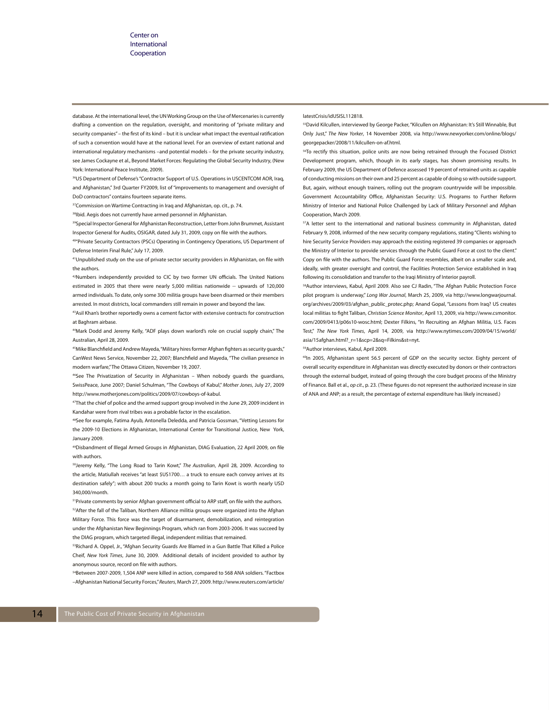database. At the international level, the UN Working Group on the Use of Mercenaries is currently drafting a convention on the regulation, oversight, and monitoring of "private military and security companies" – the first of its kind – but it is unclear what impact the eventual ratification of such a convention would have at the national level. For an overview of extant national and international regulatory mechanisms –and potential models – for the private security industry, see James Cockayne et al., Beyond Market Forces: Regulating the Global Security Industry, (New York: International Peace Institute, 2009).

36US Department of Defense's "Contractor Support of U.S. Operations in USCENTCOM AOR, Iraq, and Afghanistan," 3rd Quarter FY2009, list of "improvements to management and oversight of DoD contractors" contains fourteen separate items.

37 Commission on Wartime Contracting in Iraq and Afghanistan, op. cit., p. 74.

38| bid. Aegis does not currently have armed personnel in Afghanistan.

39Special Inspector General for Afghanistan Reconstruction, Letter from John Brummet, Assistant Inspector General for Audits, OSIGAR, dated July 31, 2009, copy on file with the authors.

40"Private Security Contractors (PSCs) Operating in Contingency Operations, US Department of Defense Interim Final Rule," July 17, 2009.

41Unpublished study on the use of private sector security providers in Afghanistan, on file with the authors.

42Numbers independently provided to CIC by two former UN officials. The United Nations estimated in 2005 that there were nearly 5,000 militias nationwide -- upwards of 120,000 armed individuals. To date, only some 300 militia groups have been disarmed or their members arrested. In most districts, local commanders still remain in power and beyond the law.

43 Asil Khan's brother reportedly owns a cement factor with extensive contracts for construction at Baghram airbase.

44Mark Dodd and Jeremy Kelly, "ADF plays down warlord's role on crucial supply chain," The Australian, April 28, 2009.

45Mike Blanchfield and Andrew Mayeda, "Military hires former Afghan fighters as security guards," CanWest News Service, November 22, 2007; Blanchfield and Mayeda, "The civilian presence in modern warfare," The Ottawa Citizen, November 19, 2007.

46See The Privatization of Security in Afghanistan – When nobody guards the guardians, SwissPeace, June 2007; Daniel Schulman, "The Cowboys of Kabul," *Mother Jones*, July 27, 2009 http://www.motherjones.com/politics/2009/07/cowboys-of-kabul.

<sup>47</sup>That the chief of police and the armed support group involved in the June 29, 2009 incident in Kandahar were from rival tribes was a probable factor in the escalation.

48See for example, Fatima Ayub, Antonella Deledda, and Patricia Gossman, "Vetting Lessons for the 2009-10 Elections in Afghanistan, International Center for Transitional Justice, New York, January 2009.

49Disbandment of Illegal Armed Groups in Afghanistan, DIAG Evaluation, 22 April 2009, on file with authors.

50Jeremy Kelly, "The Long Road to Tarin Kowt," *The Australian*, April 28, 2009. According to the article, Matiullah receives "at least \$US1700… a truck to ensure each convoy arrives at its destination safely"; with about 200 trucks a month going to Tarin Kowt is worth nearly USD 340,000/month.

51Private comments by senior Afghan government official to ARP staff, on file with the authors. 52 After the fall of the Taliban, Northern Alliance militia groups were organized into the Afghan Military Force. This force was the target of disarmament, demobilization, and reintegration under the Afghanistan New Beginnings Program, which ran from 2003-2006. It was succeed by the DIAG program, which targeted illegal, independent militias that remained.

53Richard A. Oppel, Jr., "Afghan Security Guards Are Blamed in a Gun Battle That Killed a Police Cheif, *New York Times*, June 30, 2009. Additional details of incident provided to author by anonymous source, record on file with authors.

<sup>54</sup>Between 2007-2009, 1,504 ANP were killed in action, compared to 568 ANA soldiers. "Factbox –Afghanistan National Security Forces," *Reuters*, March 27, 2009. http://www.reuters.com/article/

#### latestCrisis/idUSISL112818.

55David Kilcullen, interviewed by George Packer, "Kilcullen on Afghanistan: It's Still Winnable, But Only Just," *The New Yorker*, 14 November 2008, via http://www.newyorker.com/online/blogs/ georgepacker/2008/11/kilcullen-on-af.html.

<sup>56</sup>To rectify this situation, police units are now being retrained through the Focused District Development program, which, though in its early stages, has shown promising results. In February 2009, the US Department of Defence assessed 19 percent of retrained units as capable of conducting missions on their own and 25 percent as capable of doing so with outside support. But, again, without enough trainers, rolling out the program countrywide will be impossible. Government Accountability Office, Afghanistan Security: U.S. Programs to Further Reform Ministry of Interior and National Police Challenged by Lack of Military Personnel and Afghan Cooperation, March 2009.

57A letter sent to the international and national business community in Afghanistan, dated February 9, 2008, informed of the new security company regulations, stating "Clients wishing to hire Security Service Providers may approach the existing registered 39 companies or approach the Ministry of Interior to provide services through the Public Guard Force at cost to the client." Copy on file with the authors. The Public Guard Force resembles, albeit on a smaller scale and, ideally, with greater oversight and control, the Facilities Protection Service established in Iraq following its consolidation and transfer to the Iraqi Ministry of Interior payroll.

58Author interviews, Kabul, April 2009. Also see CJ Radin, "The Afghan Public Protection Force pilot program is underway," *Long War Journal*, March 25, 2009, via http://www.longwarjournal. org/archives/2009/03/afghan\_public\_protec.php; Anand Gopal, "Lessons from Iraq? US creates local militias to fight Taliban, *Christian Science Monitor*, April 13, 2009, via http://www.csmonitor. com/2009/0413/p06s10-wosc.html; Dexter Filkins, "In Recruiting an Afghan Militia, U.S. Faces Test," *The New York Times*, April 14, 2009, via http://www.nytimes.com/2009/04/15/world/ asia/15afghan.html?\_r=1&scp=2&sq=Filkins&st=nyt.

59Author interviews, Kabul, April 2009.

<sup>60</sup>In 2005, Afghanistan spent 56.5 percent of GDP on the security sector. Eighty percent of overall security expenditure in Afghanistan was directly executed by donors or their contractors through the external budget, instead of going through the core budget process of the Ministry of Finance. Ball et al., *op cit*., p. 23. (These figures do not represent the authorized increase in size of ANA and ANP; as a result, the percentage of external expenditure has likely increased.)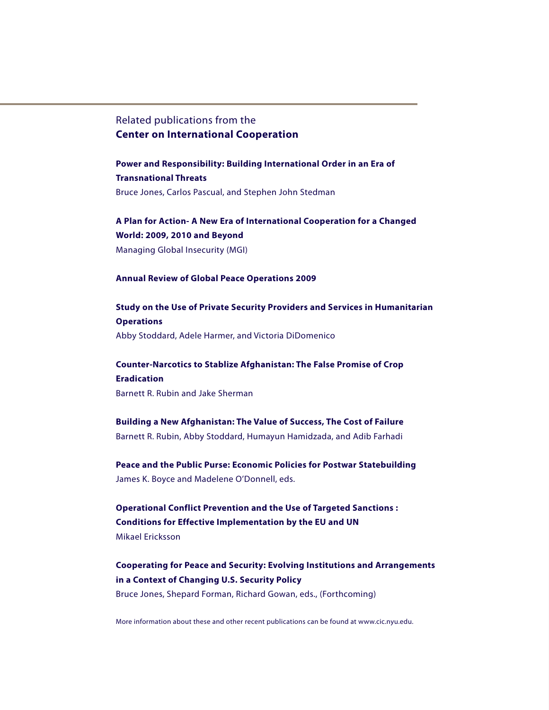## Related publications from the **Center on International Cooperation**

**Power and Responsibility: Building International Order in an Era of Transnational Threats** Bruce Jones, Carlos Pascual, and Stephen John Stedman

**A Plan for Action- A New Era of International Cooperation for a Changed World: 2009, 2010 and Beyond** Managing Global Insecurity (MGI)

### **Annual Review of Global Peace Operations 2009**

**Study on the Use of Private Security Providers and Services in Humanitarian Operations** Abby Stoddard, Adele Harmer, and Victoria DiDomenico

**Counter-Narcotics to Stablize Afghanistan: The False Promise of Crop Eradication** Barnett R. Rubin and Jake Sherman

**Building a New Afghanistan: The Value of Success, The Cost of Failure**  Barnett R. Rubin, Abby Stoddard, Humayun Hamidzada, and Adib Farhadi

**Peace and the Public Purse: Economic Policies for Postwar Statebuilding** James K. Boyce and Madelene O'Donnell, eds.

**Operational Conflict Prevention and the Use of Targeted Sanctions : Conditions for Effective Implementation by the EU and UN** Mikael Ericksson

**Cooperating for Peace and Security: Evolving Institutions and Arrangements in a Context of Changing U.S. Security Policy** Bruce Jones, Shepard Forman, Richard Gowan, eds., (Forthcoming)

More information about these and other recent publications can be found at www.cic.nyu.edu.